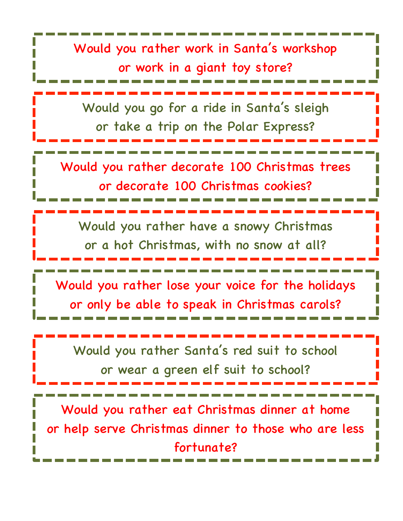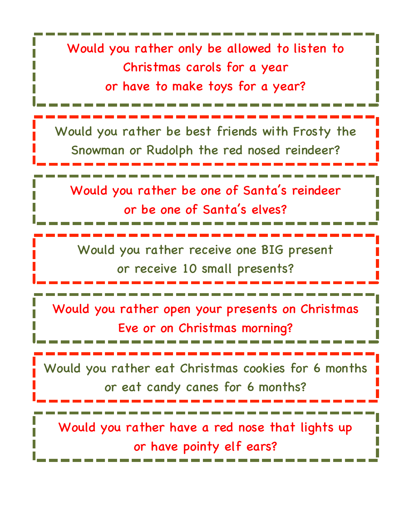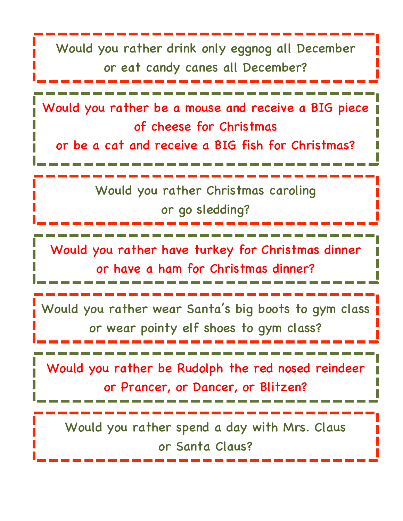